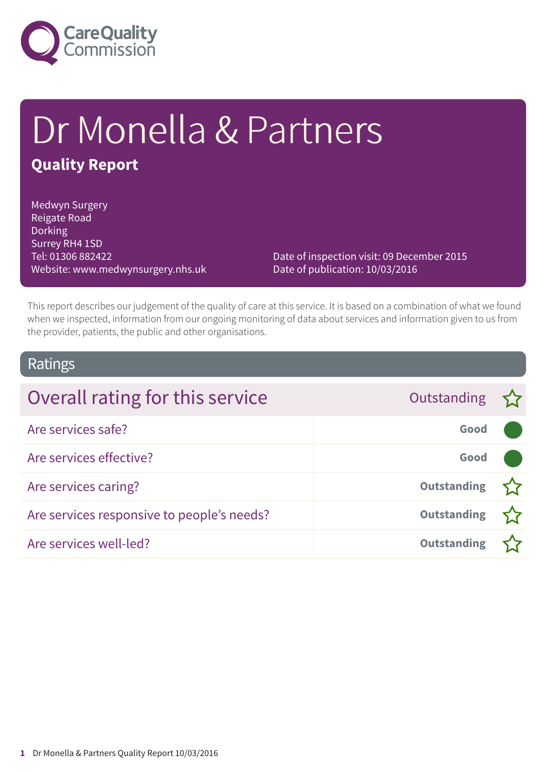

# Dr Monella & Partners **Quality Report**

Medwyn Surgery Reigate Road **Dorking** Surrey RH4 1SD Tel: 01306 882422 Website: www.medwynsurgery.nhs.uk

Date of inspection visit: 09 December 2015 Date of publication: 10/03/2016

This report describes our judgement of the quality of care at this service. It is based on a combination of what we found when we inspected, information from our ongoing monitoring of data about services and information given to us from the provider, patients, the public and other organisations.

### Ratings

| Overall rating for this service            | Outstanding $\sum$ |  |
|--------------------------------------------|--------------------|--|
| Are services safe?                         | Good               |  |
| Are services effective?                    | Good               |  |
| Are services caring?                       | <b>Outstanding</b> |  |
| Are services responsive to people's needs? | <b>Outstanding</b> |  |
| Are services well-led?                     | <b>Outstanding</b> |  |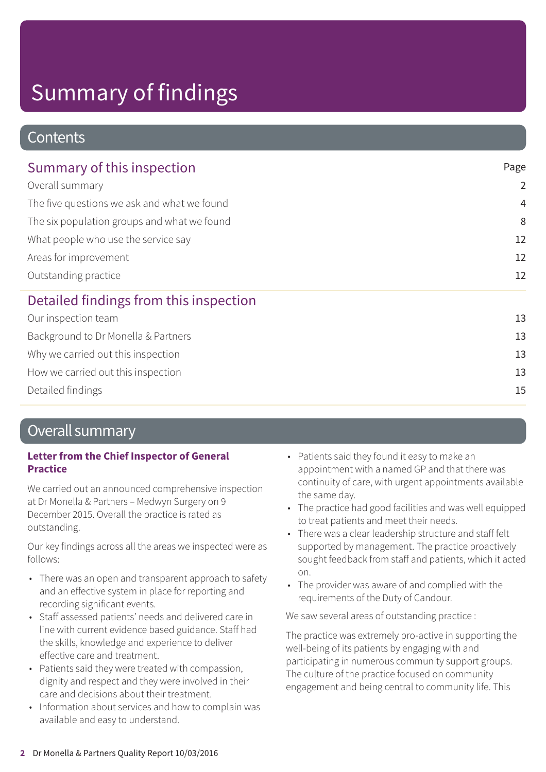### **Contents**

| Summary of this inspection<br>Overall summary<br>The five questions we ask and what we found<br>The six population groups and what we found<br>What people who use the service say<br>Areas for improvement<br>Outstanding practice | Page<br>$\overline{2}$              |                                        |
|-------------------------------------------------------------------------------------------------------------------------------------------------------------------------------------------------------------------------------------|-------------------------------------|----------------------------------------|
|                                                                                                                                                                                                                                     |                                     | $\overline{4}$                         |
|                                                                                                                                                                                                                                     | 8<br>12<br>12                       |                                        |
|                                                                                                                                                                                                                                     |                                     | 12                                     |
|                                                                                                                                                                                                                                     |                                     | Detailed findings from this inspection |
|                                                                                                                                                                                                                                     | Our inspection team                 | 13                                     |
|                                                                                                                                                                                                                                     | Background to Dr Monella & Partners | 13                                     |
| Why we carried out this inspection                                                                                                                                                                                                  | 13                                  |                                        |
| How we carried out this inspection                                                                                                                                                                                                  | 13                                  |                                        |

Detailed findings 15

### Overall summary

### **Letter from the Chief Inspector of General Practice**

We carried out an announced comprehensive inspection at Dr Monella & Partners – Medwyn Surgery on 9 December 2015. Overall the practice is rated as outstanding.

Our key findings across all the areas we inspected were as follows:

- There was an open and transparent approach to safety and an effective system in place for reporting and recording significant events.
- Staff assessed patients' needs and delivered care in line with current evidence based guidance. Staff had the skills, knowledge and experience to deliver effective care and treatment.
- Patients said they were treated with compassion, dignity and respect and they were involved in their care and decisions about their treatment.
- Information about services and how to complain was available and easy to understand.
- Patients said they found it easy to make an appointment with a named GP and that there was continuity of care, with urgent appointments available the same day.
- The practice had good facilities and was well equipped to treat patients and meet their needs.
- There was a clear leadership structure and staff felt supported by management. The practice proactively sought feedback from staff and patients, which it acted on.
- The provider was aware of and complied with the requirements of the Duty of Candour.

We saw several areas of outstanding practice :

The practice was extremely pro-active in supporting the well-being of its patients by engaging with and participating in numerous community support groups. The culture of the practice focused on community engagement and being central to community life. This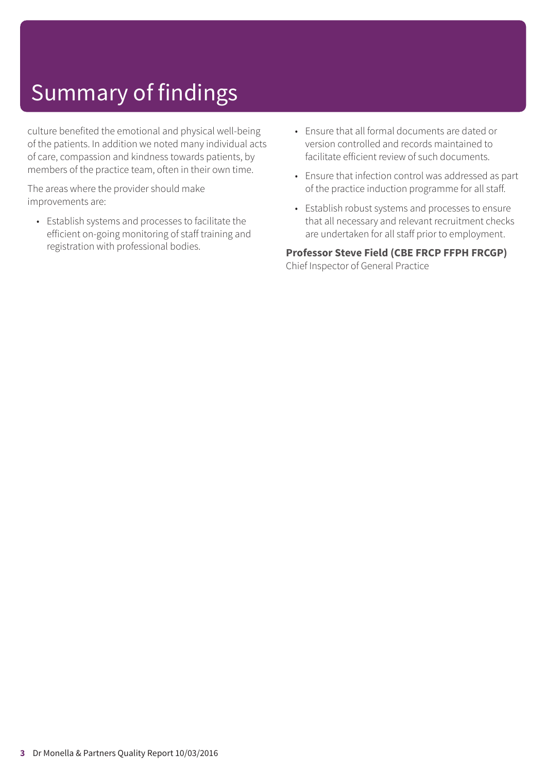culture benefited the emotional and physical well-being of the patients. In addition we noted many individual acts of care, compassion and kindness towards patients, by members of the practice team, often in their own time.

The areas where the provider should make improvements are:

- Establish systems and processes to facilitate the efficient on-going monitoring of staff training and registration with professional bodies.
- Ensure that all formal documents are dated or version controlled and records maintained to facilitate efficient review of such documents.
- Ensure that infection control was addressed as part of the practice induction programme for all staff.
- Establish robust systems and processes to ensure that all necessary and relevant recruitment checks are undertaken for all staff prior to employment.

**Professor Steve Field (CBE FRCP FFPH FRCGP)** Chief Inspector of General Practice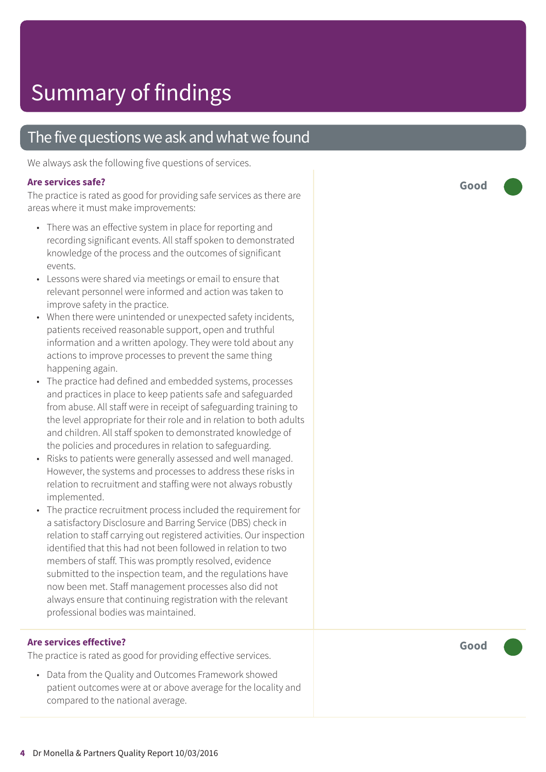### The five questions we ask and what we found

We always ask the following five questions of services.

### **Ar e services safe ?**

The practice is rated as good for providing safe services as there are ar eas wher e it must mak e improvements:

- Ther e was an effective system in plac e for reporting and recording significant events. All staff spoken to demonstrated knowledg e of the process and the out comes of significant events.
- Lessons were shared via meetings or email to ensure that relevant personnel were informed and action was taken to improve saf ety in the practice.
- When ther e wer e unintended or unexpected saf ety incidents, patients received reasonable support, open and truthful information and a written apology. The y wer e told about any actions t o improve processes t o pr event the same thing happening again.
- The practic e had defined and embedded systems, processes and practices in place to keep patients safe and safeguarded from abuse. All staff were in receipt of safeguarding training to the level appropriate for their role and in relation to both adults and children. All staff spoken t o demonstrated knowledg e of the policies and procedures in relation to safeguarding.
- Risks t o patients wer e generally assessed and well managed. However, the systems and processes to address these risks in relation to recruitment and staffing were not always robustly implemented.
- The practice recruitment process included the requirement for a satisfactor y Disclosur e and Barring Servic e (DBS) check in relation to staff carrying out registered activities. Our inspection identified that this had not been followed in relation t o two member s of staff. This was promptly resolved, evidenc e submitted to the inspection team, and the regulations have now been me t. Staff management processes also did not always ensure that continuing registration with the relevant professional bodies was maintained.

### **Ar e services effective ?**

The practic e is rated as good for providing effective services.

• Dat a from the Quality and Out comes F ramework showed patient out comes wer e at or above averag e for the locality and compared t o the national average.

**Good –––**

**Good –––**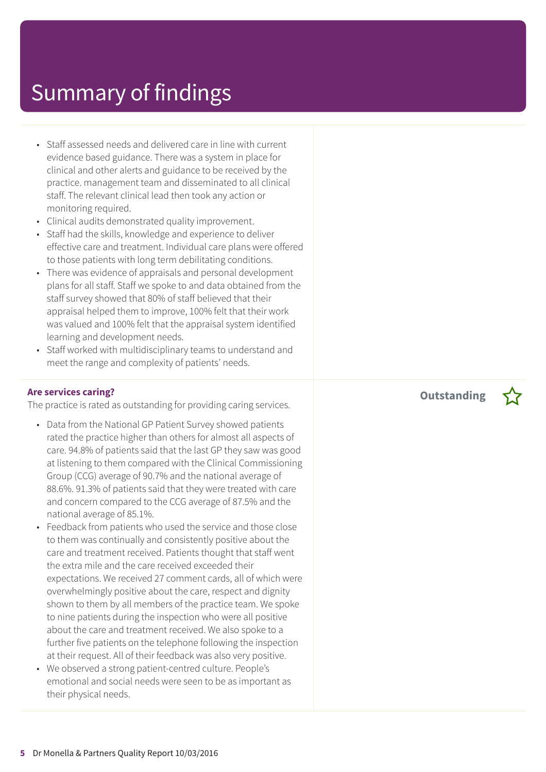- Staff assessed needs and delivered care in line with current evidence based guidance. There was a system in place for clinical and other alerts and guidance to be received by the practice. management team and disseminated to all clinical staff. The relevant clinical lead then took any action or monitoring required.
- Clinical audits demonstrated quality improvement.
- Staff had the skills, knowledge and experience to deliver effective care and treatment. Individual care plans were offered to those patients with long term debilitating conditions.
- There was evidence of appraisals and personal development plans for all staff. Staff we spoke to and data obtained from the staff survey showed that 80% of staff believed that their appraisal helped them to improve, 100% felt that their work was valued and 100% felt that the appraisal system identified learning and development needs.
- Staff worked with multidisciplinary teams to understand and meet the range and complexity of patients' needs.

#### **Are services caring?**

The practice is rated as outstanding for providing caring services.

- Data from the National GP Patient Survey showed patients rated the practice higher than others for almost all aspects of care. 94.8% of patients said that the last GP they saw was good at listening to them compared with the Clinical Commissioning Group (CCG) average of 90.7% and the national average of 88.6%. 91.3% of patients said that they were treated with care and concern compared to the CCG average of 87.5% and the national average of 85.1%.
- Feedback from patients who used the service and those close to them was continually and consistently positive about the care and treatment received. Patients thought that staff went the extra mile and the care received exceeded their expectations. We received 27 comment cards, all of which were overwhelmingly positive about the care, respect and dignity shown to them by all members of the practice team. We spoke to nine patients during the inspection who were all positive about the care and treatment received. We also spoke to a further five patients on the telephone following the inspection at their request. All of their feedback was also very positive.
- We observed a strong patient-centred culture. People's emotional and social needs were seen to be as important as their physical needs.

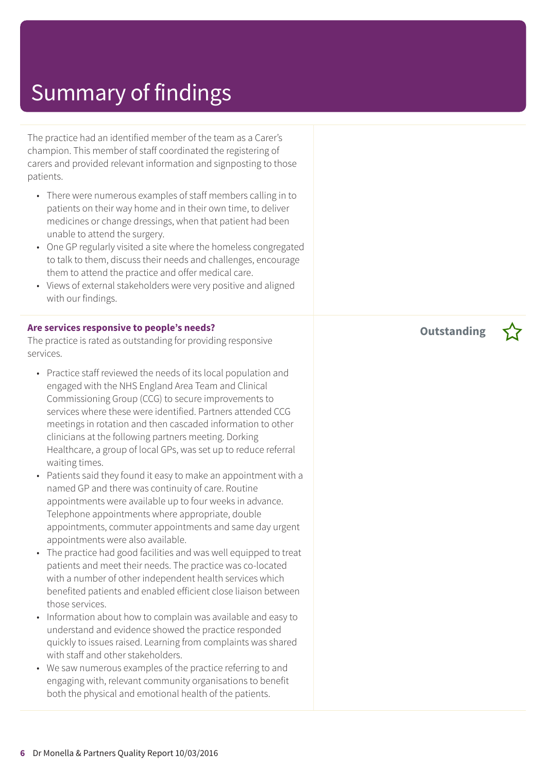The practice had an identified member of the team as a Carer's champion. This member of staff coordinated the registering of carers and provided relevant information and signposting to those patients.

- There were numerous examples of staff members calling in to patients on their way home and in their own time, to deliver medicines or change dressings, when that patient had been unable to attend the surgery.
- One GP regularly visited a site where the homeless congregated to talk to them, discuss their needs and challenges, encourage them to attend the practice and offer medical care.
- Views of external stakeholders were very positive and aligned with our findings.

#### **Are services responsive to people's needs?**

The practice is rated as outstanding for providing responsive services.

- Practice staff reviewed the needs of its local population and engaged with the NHS England Area Team and Clinical Commissioning Group (CCG) to secure improvements to services where these were identified. Partners attended CCG meetings in rotation and then cascaded information to other clinicians at the following partners meeting. Dorking Healthcare, a group of local GPs, was set up to reduce referral waiting times.
- Patients said they found it easy to make an appointment with a named GP and there was continuity of care. Routine appointments were available up to four weeks in advance. Telephone appointments where appropriate, double appointments, commuter appointments and same day urgent appointments were also available.
- The practice had good facilities and was well equipped to treat patients and meet their needs. The practice was co-located with a number of other independent health services which benefited patients and enabled efficient close liaison between those services.
- Information about how to complain was available and easy to understand and evidence showed the practice responded quickly to issues raised. Learning from complaints was shared with staff and other stakeholders.
- We saw numerous examples of the practice referring to and engaging with, relevant community organisations to benefit both the physical and emotional health of the patients.

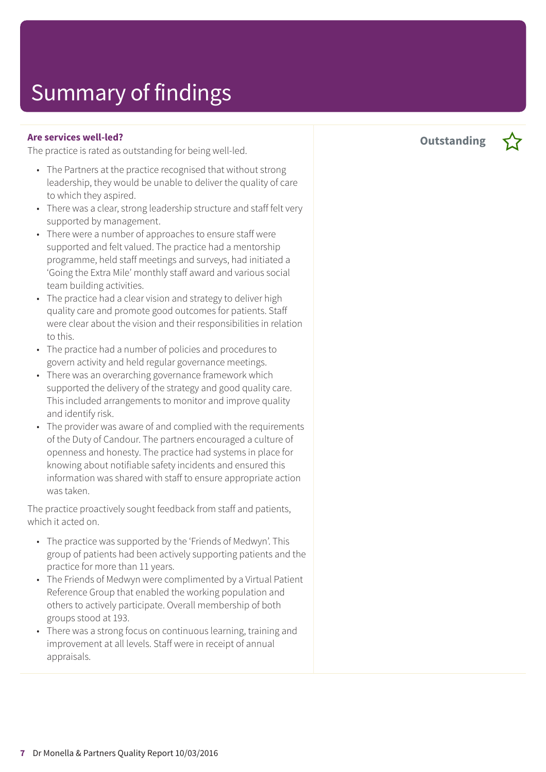#### **Are services well-led?**

The practice is rated as outstanding for being well-led.

- The Partners at the practice recognised that without strong leadership, they would be unable to deliver the quality of care to which they aspired.
- There was a clear, strong leadership structure and staff felt very supported by management.
- There were a number of approaches to ensure staff were supported and felt valued. The practice had a mentorship programme, held staff meetings and surveys, had initiated a 'Going the Extra Mile' monthly staff award and various social team building activities.
- The practice had a clear vision and strategy to deliver high quality care and promote good outcomes for patients. Staff were clear about the vision and their responsibilities in relation to this.
- The practice had a number of policies and procedures to govern activity and held regular governance meetings.
- There was an overarching governance framework which supported the delivery of the strategy and good quality care. This included arrangements to monitor and improve quality and identify risk.
- The provider was aware of and complied with the requirements of the Duty of Candour. The partners encouraged a culture of openness and honesty. The practice had systems in place for knowing about notifiable safety incidents and ensured this information was shared with staff to ensure appropriate action was taken.

The practice proactively sought feedback from staff and patients, which it acted on.

- The practice was supported by the 'Friends of Medwyn'. This group of patients had been actively supporting patients and the practice for more than 11 years.
- The Friends of Medwyn were complimented by a Virtual Patient Reference Group that enabled the working population and others to actively participate. Overall membership of both groups stood at 193.
- There was a strong focus on continuous learning, training and improvement at all levels. Staff were in receipt of annual appraisals.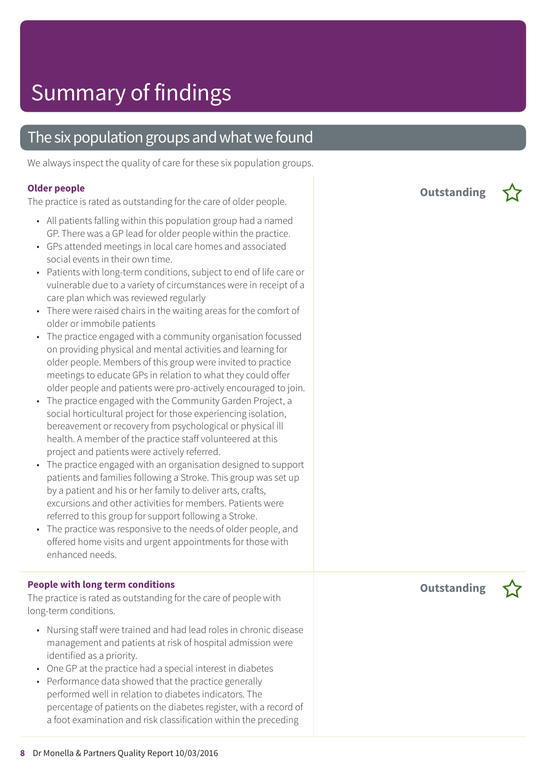### The six population groups and what we found

We always inspect the quality of care for these six population groups.

#### **Older people**

The practice is rated as outstanding for the care of older people.

- All patients falling within this population group had a named GP. There was a GP lead for older people within the practice.
- GPs attended meetings in local care homes and associated social events in their own time.
- Patients with long-term conditions, subject to end of life care or vulnerable due to a variety of circumstances were in receipt of a care plan which was reviewed regularly
- There were raised chairs in the waiting areas for the comfort of older or immobile patients
- The practice engaged with a community organisation focussed on providing physical and mental activities and learning for older people. Members of this group were invited to practice meetings to educate GPs in relation to what they could offer older people and patients were pro-actively encouraged to join.
- The practice engaged with the Community Garden Project, a social horticultural project for those experiencing isolation, bereavement or recovery from psychological or physical ill health. A member of the practice staff volunteered at this project and patients were actively referred.
- The practice engaged with an organisation designed to support patients and families following a Stroke. This group was set up by a patient and his or her family to deliver arts, crafts, excursions and other activities for members. Patients were referred to this group for support following a Stroke.
- The practice was responsive to the needs of older people, and offered home visits and urgent appointments for those with enhanced needs.

#### **People with long term conditions**

The practice is rated as outstanding for the care of people with long-term conditions.

- Nursing staff were trained and had lead roles in chronic disease management and patients at risk of hospital admission were identified as a priority.
- One GP at the practice had a special interest in diabetes
- Performance data showed that the practice generally performed well in relation to diabetes indicators. The percentage of patients on the diabetes register, with a record of a foot examination and risk classification within the preceding

**Outstanding –**



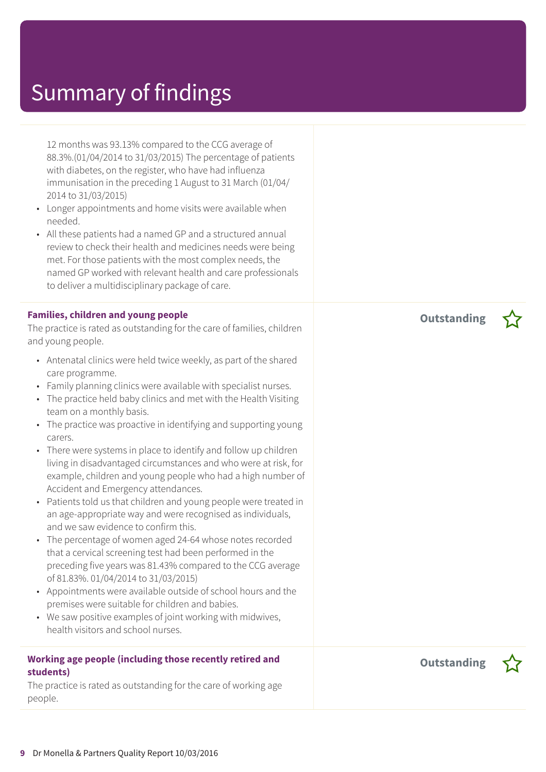12 months was 93.13% compared to the CCG average of 88.3%.(01/04/2014 to 31/03/2015) The percentage of patients with diabetes, on the register, who have had influenza immunisation in the preceding 1 August to 31 March (01/04/ 2014 to 31/03/2015)

- Longer appointments and home visits were available when needed.
- All these patients had a named GP and a structured annual review to check their health and medicines needs were being met. For those patients with the most complex needs, the named GP worked with relevant health and care professionals to deliver a multidisciplinary package of care.

### **Families, children and young people**

The practice is rated as outstanding for the care of families, children and young people.

- Antenatal clinics were held twice weekly, as part of the shared care programme.
- Family planning clinics were available with specialist nurses.
- The practice held baby clinics and met with the Health Visiting team on a monthly basis.
- The practice was proactive in identifying and supporting young carers.
- There were systems in place to identify and follow up children living in disadvantaged circumstances and who were at risk, for example, children and young people who had a high number of Accident and Emergency attendances.
- Patients told us that children and young people were treated in an age-appropriate way and were recognised as individuals, and we saw evidence to confirm this.
- The percentage of women aged 24-64 whose notes recorded that a cervical screening test had been performed in the preceding five years was 81.43% compared to the CCG average of 81.83%. 01/04/2014 to 31/03/2015)
- Appointments were available outside of school hours and the premises were suitable for children and babies.
- We saw positive examples of joint working with midwives, health visitors and school nurses.

### **Working age people (including those recently retired and students)**

The practice is rated as outstanding for the care of working age people.

**Outstanding –**



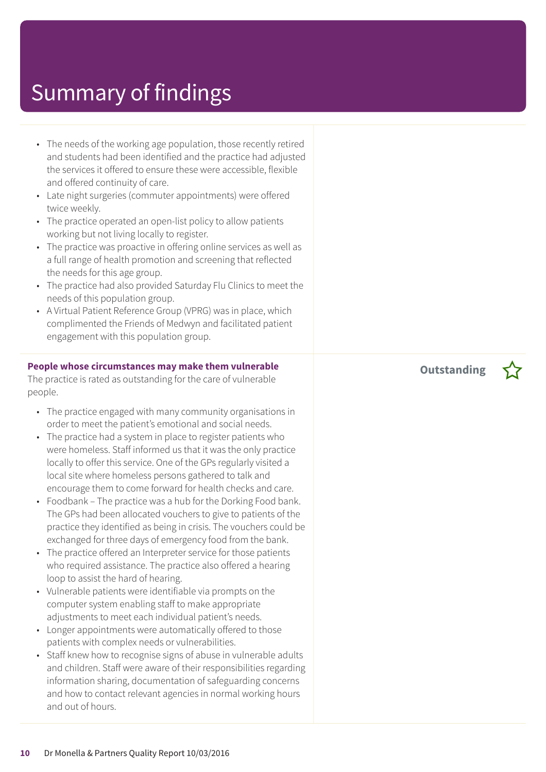- The needs of the working age population, those recently retired and students had been identified and the practice had adjusted the services it offered to ensure these were accessible, flexible and offered continuity of care.
- Late night surgeries (commuter appointments) were offered twice weekly.
- The practice operated an open-list policy to allow patients working but not living locally to register.
- The practice was proactive in offering online services as well as a full range of health promotion and screening that reflected the needs for this age group.
- The practice had also provided Saturday Flu Clinics to meet the needs of this population group.
- A Virtual Patient Reference Group (VPRG) was in place, which complimented the Friends of Medwyn and facilitated patient engagement with this population group.

#### **People whose circumstances may make them vulnerable**

The practice is rated as outstanding for the care of vulnerable people.

- The practice engaged with many community organisations in order to meet the patient's emotional and social needs.
- The practice had a system in place to register patients who were homeless. Staff informed us that it was the only practice locally to offer this service. One of the GPs regularly visited a local site where homeless persons gathered to talk and encourage them to come forward for health checks and care.
- Foodbank The practice was a hub for the Dorking Food bank. The GPs had been allocated vouchers to give to patients of the practice they identified as being in crisis. The vouchers could be exchanged for three days of emergency food from the bank.
- The practice offered an Interpreter service for those patients who required assistance. The practice also offered a hearing loop to assist the hard of hearing.
- Vulnerable patients were identifiable via prompts on the computer system enabling staff to make appropriate adjustments to meet each individual patient's needs.
- Longer appointments were automatically offered to those patients with complex needs or vulnerabilities.
- Staff knew how to recognise signs of abuse in vulnerable adults and children. Staff were aware of their responsibilities regarding information sharing, documentation of safeguarding concerns and how to contact relevant agencies in normal working hours and out of hours.

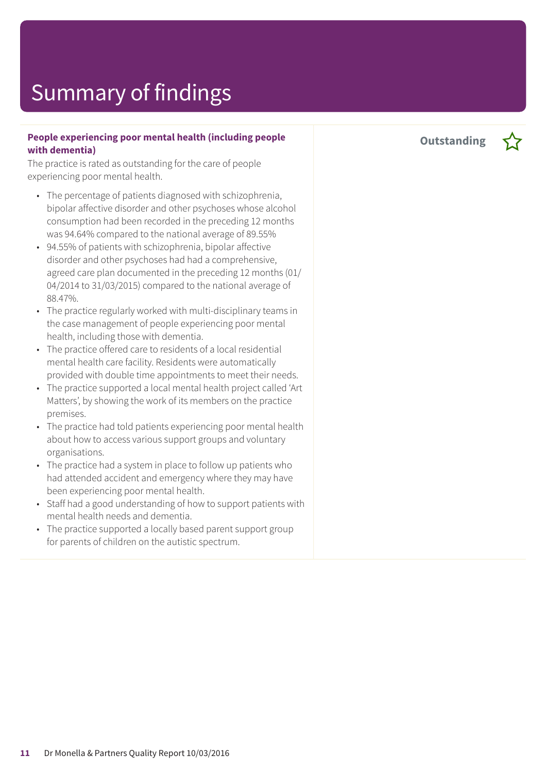#### **People experiencing poor mental health (including people with dementia)**

The practice is rated as outstanding for the care of people experiencing poor mental health.

- The percentage of patients diagnosed with schizophrenia, bipolar affective disorder and other psychoses whose alcohol consumption had been recorded in the preceding 12 months was 94.64% compared to the national average of 89.55%
- 94.55% of patients with schizophrenia, bipolar affective disorder and other psychoses had had a comprehensive, agreed care plan documented in the preceding 12 months (01/ 04/2014 to 31/03/2015) compared to the national average of 88.47%.
- The practice regularly worked with multi-disciplinary teams in the case management of people experiencing poor mental health, including those with dementia.
- The practice offered care to residents of a local residential mental health care facility. Residents were automatically provided with double time appointments to meet their needs.
- The practice supported a local mental health project called 'Art Matters', by showing the work of its members on the practice premises.
- The practice had told patients experiencing poor mental health about how to access various support groups and voluntary organisations.
- The practice had a system in place to follow up patients who had attended accident and emergency where they may have been experiencing poor mental health.
- Staff had a good understanding of how to support patients with mental health needs and dementia.
- The practice supported a locally based parent support group for parents of children on the autistic spectrum.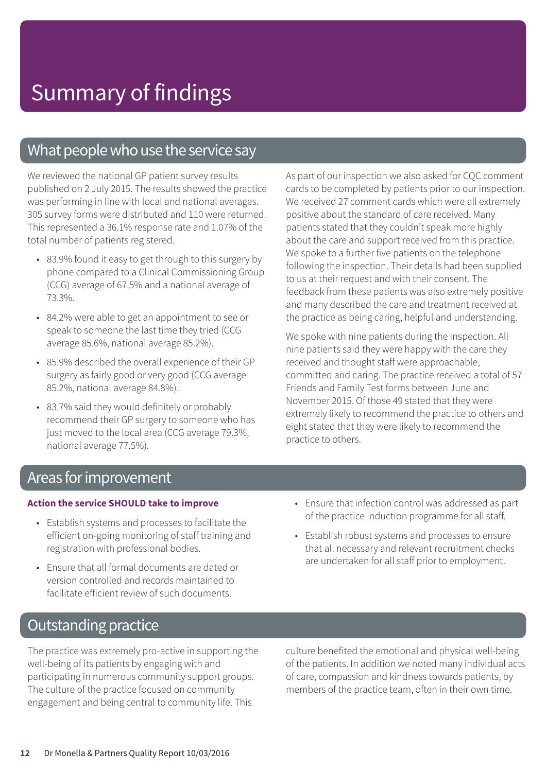### What people who use the service say

We reviewed the national GP patient survey results published on 2 July 2015. The results showed the practice was performing in line with local and national averages. 305 survey forms were distributed and 110 were returned. This represented a 36.1% response rate and 1.07% of the total number of patients registered.

- 83.9% found it easy to get through to this surgery by phone compared to a Clinical Commissioning Group (CCG) average of 67.5% and a national average of 73.3%.
- 84.2% were able to get an appointment to see or speak to someone the last time they tried (CCG average 85.6%, national average 85.2%).
- 85.9% described the overall experience of their GP surgery as fairly good or very good (CCG average 85.2%, national average 84.8%).
- 83.7% said they would definitely or probably recommend their GP surgery to someone who has just moved to the local area (CCG average 79.3%, national average 77.5%).

As part of our inspection we also asked for CQC comment cards to be completed by patients prior to our inspection. We received 27 comment cards which were all extremely positive about the standard of care received. Many patients stated that they couldn't speak more highly about the care and support received from this practice. We spoke to a further five patients on the telephone following the inspection. Their details had been supplied to us at their request and with their consent. The feedback from these patients was also extremely positive and many described the care and treatment received at the practice as being caring, helpful and understanding.

We spoke with nine patients during the inspection. All nine patients said they were happy with the care they received and thought staff were approachable, committed and caring. The practice received a total of 57 Friends and Family Test forms between June and November 2015. Of those 49 stated that they were extremely likely to recommend the practice to others and eight stated that they were likely to recommend the practice to others.

### Areas forimprovement

#### **Action the service SHOULD take to improve**

- Establish systems and processes to facilitate the efficient on-going monitoring of staff training and registration with professional bodies.
- Ensure that all formal documents are dated or version controlled and records maintained to facilitate efficient review of such documents.

### • Ensure that infection control was addressed as part of the practice induction programme for all staff.

• Establish robust systems and processes to ensure that all necessary and relevant recruitment checks are undertaken for all staff prior to employment.

### **Outstanding practice**

The practice was extremely pro-active in supporting the well-being of its patients by engaging with and participating in numerous community support groups. The culture of the practice focused on community engagement and being central to community life. This

culture benefited the emotional and physical well-being of the patients. In addition we noted many individual acts of care, compassion and kindness towards patients, by members of the practice team, often in their own time.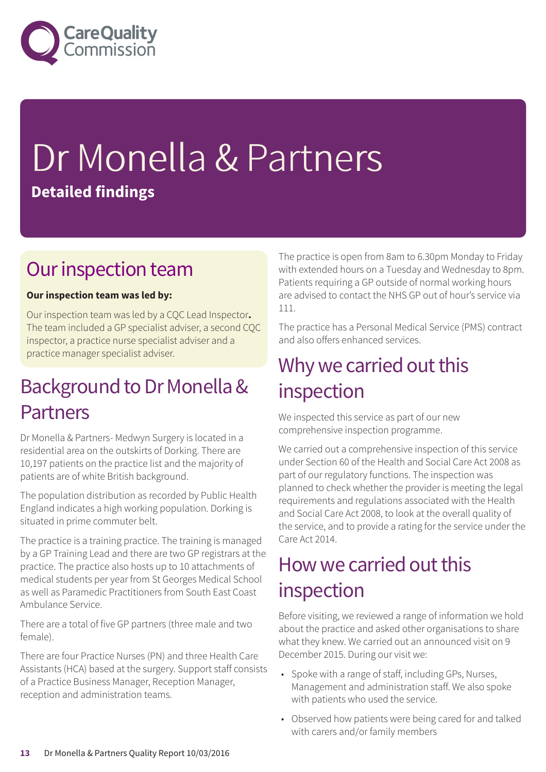

# Dr Monella & Partners **Detailed findings**

### Our inspection team

### **Our inspection team was led by:**

Our inspection team was led by a CQC Lead Inspector**.** The team included a GP specialist adviser, a second CQC inspector, a practice nurse specialist adviser and a practice manager specialist adviser.

### Background to Dr Monella & Partners

Dr Monella & Partners- Medwyn Surgery is located in a residential area on the outskirts of Dorking. There are 10,197 patients on the practice list and the majority of patients are of white British background.

The population distribution as recorded by Public Health England indicates a high working population. Dorking is situated in prime commuter belt.

The practice is a training practice. The training is managed by a GP Training Lead and there are two GP registrars at the practice. The practice also hosts up to 10 attachments of medical students per year from St Georges Medical School as well as Paramedic Practitioners from South East Coast Ambulance Service.

There are a total of five GP partners (three male and two female).

There are four Practice Nurses (PN) and three Health Care Assistants (HCA) based at the surgery. Support staff consists of a Practice Business Manager, Reception Manager, reception and administration teams.

The practice is open from 8am to 6.30pm Monday to Friday with extended hours on a Tuesday and Wednesday to 8pm. Patients requiring a GP outside of normal working hours are advised to contact the NHS GP out of hour's service via 111.

The practice has a Personal Medical Service (PMS) contract and also offers enhanced services.

### Why we carried out this inspection

We inspected this service as part of our new comprehensive inspection programme.

We carried out a comprehensive inspection of this service under Section 60 of the Health and Social Care Act 2008 as part of our regulatory functions. The inspection was planned to check whether the provider is meeting the legal requirements and regulations associated with the Health and Social Care Act 2008, to look at the overall quality of the service, and to provide a rating for the service under the Care Act 2014.

### How we carried out this inspection

Before visiting, we reviewed a range of information we hold about the practice and asked other organisations to share what they knew. We carried out an announced visit on 9 December 2015. During our visit we:

- Spoke with a range of staff, including GPs, Nurses, Management and administration staff. We also spoke with patients who used the service.
- Observed how patients were being cared for and talked with carers and/or family members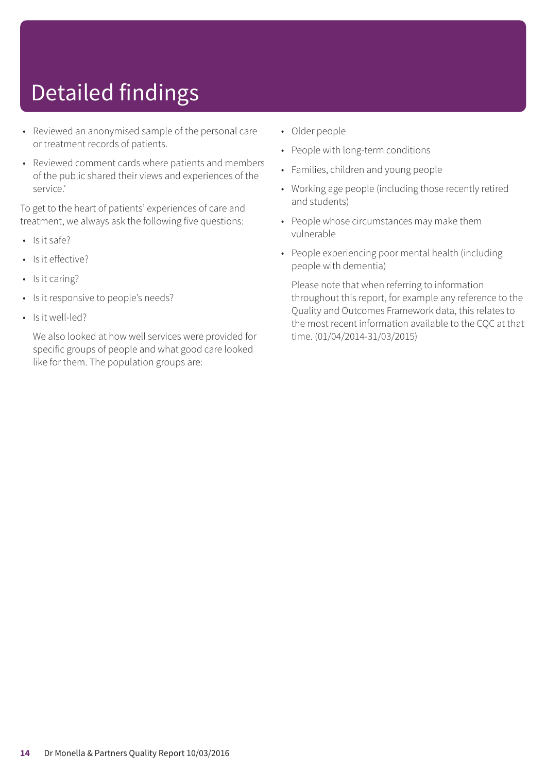# Detailed findings

- Reviewed an anonymised sample of the personal care or treatment records of patients.
- Reviewed comment cards where patients and members of the public shared their views and experiences of the service.'

To get to the heart of patients' experiences of care and treatment, we always ask the following five questions:

- $\cdot$  Is it safe?
- Is it effective?
- Is it caring?
- Is it responsive to people's needs?
- Is it well-led?

We also looked at how well services were provided for specific groups of people and what good care looked like for them. The population groups are:

- Older people
- People with long-term conditions
- Families, children and young people
- Working age people (including those recently retired and students)
- People whose circumstances may make them vulnerable
- People experiencing poor mental health (including people with dementia)

Please note that when referring to information throughout this report, for example any reference to the Quality and Outcomes Framework data, this relates to the most recent information available to the CQC at that time. (01/04/2014-31/03/2015)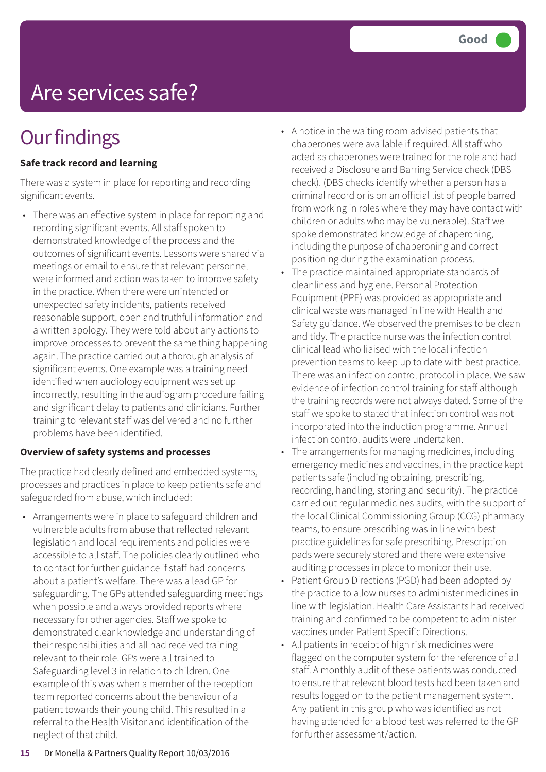# Are services safe?

## **Our findings**

### **Safe track record and learning**

There was a system in place for reporting and recording significant events.

• There was an effective system in place for reporting and recording significant events. All staff spoken to demonstrated knowledge of the process and the outcomes of significant events. Lessons were shared via meetings or email to ensure that relevant personnel were informed and action was taken to improve safety in the practice. When there were unintended or unexpected safety incidents, patients received reasonable support, open and truthful information and a written apology. They were told about any actions to improve processes to prevent the same thing happening again. The practice carried out a thorough analysis of significant events. One example was a training need identified when audiology equipment was set up incorrectly, resulting in the audiogram procedure failing and significant delay to patients and clinicians. Further training to relevant staff was delivered and no further problems have been identified.

#### **Overview of safety systems and processes**

The practice had clearly defined and embedded systems, processes and practices in place to keep patients safe and safeguarded from abuse, which included:

• Arrangements were in place to safeguard children and vulnerable adults from abuse that reflected relevant legislation and local requirements and policies were accessible to all staff. The policies clearly outlined who to contact for further guidance if staff had concerns about a patient's welfare. There was a lead GP for safeguarding. The GPs attended safeguarding meetings when possible and always provided reports where necessary for other agencies. Staff we spoke to demonstrated clear knowledge and understanding of their responsibilities and all had received training relevant to their role. GPs were all trained to Safeguarding level 3 in relation to children. One example of this was when a member of the reception team reported concerns about the behaviour of a patient towards their young child. This resulted in a referral to the Health Visitor and identification of the neglect of that child.

- A notice in the waiting room advised patients that chaperones were available if required. All staff who acted as chaperones were trained for the role and had received a Disclosure and Barring Service check (DBS check). (DBS checks identify whether a person has a criminal record or is on an official list of people barred from working in roles where they may have contact with children or adults who may be vulnerable). Staff we spoke demonstrated knowledge of chaperoning, including the purpose of chaperoning and correct positioning during the examination process.
- The practice maintained appropriate standards of cleanliness and hygiene. Personal Protection Equipment (PPE) was provided as appropriate and clinical waste was managed in line with Health and Safety guidance. We observed the premises to be clean and tidy. The practice nurse was the infection control clinical lead who liaised with the local infection prevention teams to keep up to date with best practice. There was an infection control protocol in place. We saw evidence of infection control training for staff although the training records were not always dated. Some of the staff we spoke to stated that infection control was not incorporated into the induction programme. Annual infection control audits were undertaken.
- The arrangements for managing medicines, including emergency medicines and vaccines, in the practice kept patients safe (including obtaining, prescribing, recording, handling, storing and security). The practice carried out regular medicines audits, with the support of the local Clinical Commissioning Group (CCG) pharmacy teams, to ensure prescribing was in line with best practice guidelines for safe prescribing. Prescription pads were securely stored and there were extensive auditing processes in place to monitor their use.
- Patient Group Directions (PGD) had been adopted by the practice to allow nurses to administer medicines in line with legislation. Health Care Assistants had received training and confirmed to be competent to administer vaccines under Patient Specific Directions.
- All patients in receipt of high risk medicines were flagged on the computer system for the reference of all staff. A monthly audit of these patients was conducted to ensure that relevant blood tests had been taken and results logged on to the patient management system. Any patient in this group who was identified as not having attended for a blood test was referred to the GP for further assessment/action.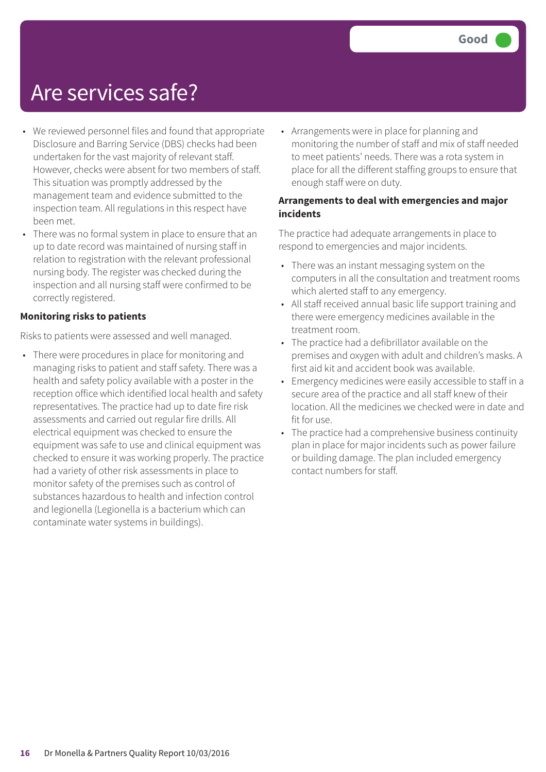### Are services safe?

- We reviewed personnel files and found that appropriate Disclosure and Barring Service (DBS) checks had been undertaken for the vast majority of relevant staff. However, checks were absent for two members of staff. This situation was promptly addressed by the management team and evidence submitted to the inspection team. All regulations in this respect have been met.
- There was no formal system in place to ensure that an up to date record was maintained of nursing staff in relation to registration with the relevant professional nursing body. The register was checked during the inspection and all nursing staff were confirmed to be correctly registered.

#### **Monitoring risks to patients**

Risks to patients were assessed and well managed.

• There were procedures in place for monitoring and managing risks to patient and staff safety. There was a health and safety policy available with a poster in the reception office which identified local health and safety representatives. The practice had up to date fire risk assessments and carried out regular fire drills. All electrical equipment was checked to ensure the equipment was safe to use and clinical equipment was checked to ensure it was working properly. The practice had a variety of other risk assessments in place to monitor safety of the premises such as control of substances hazardous to health and infection control and legionella (Legionella is a bacterium which can contaminate water systems in buildings).

• Arrangements were in place for planning and monitoring the number of staff and mix of staff needed to meet patients' needs. There was a rota system in place for all the different staffing groups to ensure that enough staff were on duty.

#### **Arrangements to deal with emergencies and major incidents**

The practice had adequate arrangements in place to respond to emergencies and major incidents.

- There was an instant messaging system on the computers in all the consultation and treatment rooms which alerted staff to any emergency.
- All staff received annual basic life support training and there were emergency medicines available in the treatment room.
- The practice had a defibrillator available on the premises and oxygen with adult and children's masks. A first aid kit and accident book was available.
- Emergency medicines were easily accessible to staff in a secure area of the practice and all staff knew of their location. All the medicines we checked were in date and fit for use.
- The practice had a comprehensive business continuity plan in place for major incidents such as power failure or building damage. The plan included emergency contact numbers for staff.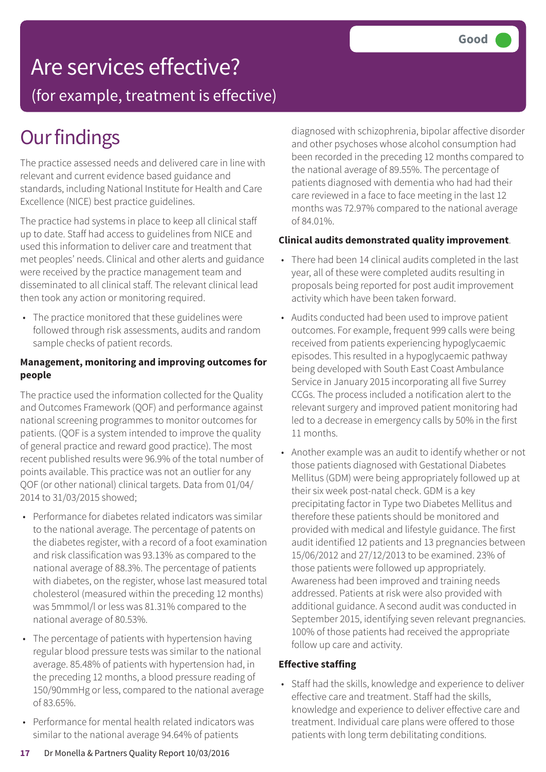## Are services effective?

(for example, treatment is effective)

## **Our findings**

The practice assessed needs and delivered care in line with relevant and current evidence based guidance and standards, including National Institute for Health and Care Excellence (NICE) best practice guidelines.

The practice had systems in place to keep all clinical staff up to date. Staff had access to guidelines from NICE and used this information to deliver care and treatment that met peoples' needs. Clinical and other alerts and guidance were received by the practice management team and disseminated to all clinical staff. The relevant clinical lead then took any action or monitoring required.

• The practice monitored that these guidelines were followed through risk assessments, audits and random sample checks of patient records.

#### **Management, monitoring and improving outcomes for people**

The practice used the information collected for the Quality and Outcomes Framework (QOF) and performance against national screening programmes to monitor outcomes for patients. (QOF is a system intended to improve the quality of general practice and reward good practice). The most recent published results were 96.9% of the total number of points available. This practice was not an outlier for any QOF (or other national) clinical targets. Data from 01/04/ 2014 to 31/03/2015 showed;

- Performance for diabetes related indicators was similar to the national average. The percentage of patents on the diabetes register, with a record of a foot examination and risk classification was 93.13% as compared to the national average of 88.3%. The percentage of patients with diabetes, on the register, whose last measured total cholesterol (measured within the preceding 12 months) was 5mmmol/l or less was 81.31% compared to the national average of 80.53%.
- The percentage of patients with hypertension having regular blood pressure tests was similar to the national average. 85.48% of patients with hypertension had, in the preceding 12 months, a blood pressure reading of 150/90mmHg or less, compared to the national average of 83.65%.
- Performance for mental health related indicators was similar to the national average 94.64% of patients

diagnosed with schizophrenia, bipolar affective disorder and other psychoses whose alcohol consumption had been recorded in the preceding 12 months compared to the national average of 89.55%. The percentage of patients diagnosed with dementia who had had their care reviewed in a face to face meeting in the last 12 months was 72.97% compared to the national average of 84.01%.

### **Clinical audits demonstrated quality improvement**.

- There had been 14 clinical audits completed in the last year, all of these were completed audits resulting in proposals being reported for post audit improvement activity which have been taken forward.
- Audits conducted had been used to improve patient outcomes. For example, frequent 999 calls were being received from patients experiencing hypoglycaemic episodes. This resulted in a hypoglycaemic pathway being developed with South East Coast Ambulance Service in January 2015 incorporating all five Surrey CCGs. The process included a notification alert to the relevant surgery and improved patient monitoring had led to a decrease in emergency calls by 50% in the first 11 months.
- Another example was an audit to identify whether or not those patients diagnosed with Gestational Diabetes Mellitus (GDM) were being appropriately followed up at their six week post-natal check. GDM is a key precipitating factor in Type two Diabetes Mellitus and therefore these patients should be monitored and provided with medical and lifestyle guidance. The first audit identified 12 patients and 13 pregnancies between 15/06/2012 and 27/12/2013 to be examined. 23% of those patients were followed up appropriately. Awareness had been improved and training needs addressed. Patients at risk were also provided with additional guidance. A second audit was conducted in September 2015, identifying seven relevant pregnancies. 100% of those patients had received the appropriate follow up care and activity.

#### **Effective staffing**

• Staff had the skills, knowledge and experience to deliver effective care and treatment. Staff had the skills, knowledge and experience to deliver effective care and treatment. Individual care plans were offered to those patients with long term debilitating conditions.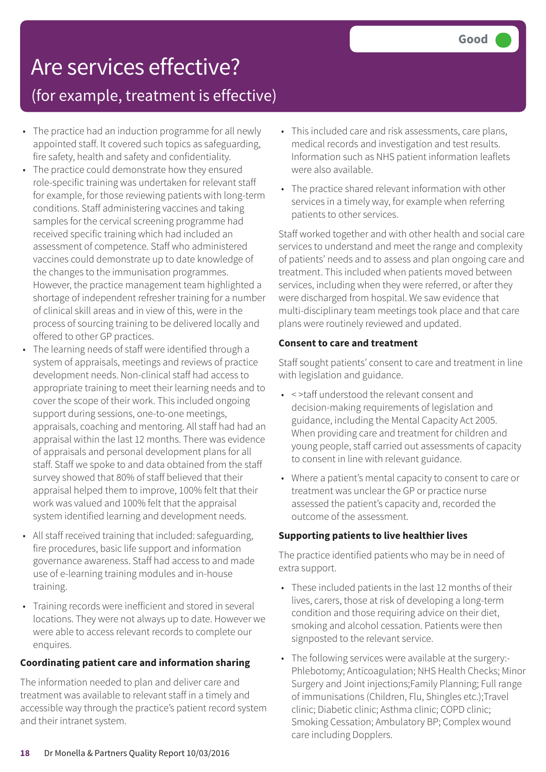### Are services effective? (for example, treatment is effective)

- The practice had an induction programme for all newly appointed staff. It covered such topics as safeguarding, fire safety, health and safety and confidentiality.
- The practice could demonstrate how they ensured role-specific training was undertaken for relevant staff for example, for those reviewing patients with long-term conditions. Staff administering vaccines and taking samples for the cervical screening programme had received specific training which had included an assessment of competence. Staff who administered vaccines could demonstrate up to date knowledge of the changes to the immunisation programmes. However, the practice management team highlighted a shortage of independent refresher training for a number of clinical skill areas and in view of this, were in the process of sourcing training to be delivered locally and offered to other GP practices.
- The learning needs of staff were identified through a system of appraisals, meetings and reviews of practice development needs. Non-clinical staff had access to appropriate training to meet their learning needs and to cover the scope of their work. This included ongoing support during sessions, one-to-one meetings, appraisals, coaching and mentoring. All staff had had an appraisal within the last 12 months. There was evidence of appraisals and personal development plans for all staff. Staff we spoke to and data obtained from the staff survey showed that 80% of staff believed that their appraisal helped them to improve, 100% felt that their work was valued and 100% felt that the appraisal system identified learning and development needs.
- All staff received training that included: safeguarding, fire procedures, basic life support and information governance awareness. Staff had access to and made use of e-learning training modules and in-house training.
- Training records were inefficient and stored in several locations. They were not always up to date. However we were able to access relevant records to complete our enquires.

### **Coordinating patient care and information sharing**

The information needed to plan and deliver care and treatment was available to relevant staff in a timely and accessible way through the practice's patient record system and their intranet system.

- This included care and risk assessments, care plans, medical records and investigation and test results. Information such as NHS patient information leaflets were also available.
- The practice shared relevant information with other services in a timely way, for example when referring patients to other services.

Staff worked together and with other health and social care services to understand and meet the range and complexity of patients' needs and to assess and plan ongoing care and treatment. This included when patients moved between services, including when they were referred, or after they were discharged from hospital. We saw evidence that multi-disciplinary team meetings took place and that care plans were routinely reviewed and updated.

#### **Consent to care and treatment**

Staff sought patients' consent to care and treatment in line with legislation and guidance.

- < >taff understood the relevant consent and decision-making requirements of legislation and guidance, including the Mental Capacity Act 2005. When providing care and treatment for children and young people, staff carried out assessments of capacity to consent in line with relevant guidance.
- Where a patient's mental capacity to consent to care or treatment was unclear the GP or practice nurse assessed the patient's capacity and, recorded the outcome of the assessment.

### **Supporting patients to live healthier lives**

The practice identified patients who may be in need of extra support.

- These included patients in the last 12 months of their lives, carers, those at risk of developing a long-term condition and those requiring advice on their diet, smoking and alcohol cessation. Patients were then signposted to the relevant service.
- The following services were available at the surgery:- Phlebotomy; Anticoagulation; NHS Health Checks; Minor Surgery and Joint injections;Family Planning; Full range of immunisations (Children, Flu, Shingles etc.);Travel clinic; Diabetic clinic; Asthma clinic; COPD clinic; Smoking Cessation; Ambulatory BP; Complex wound care including Dopplers.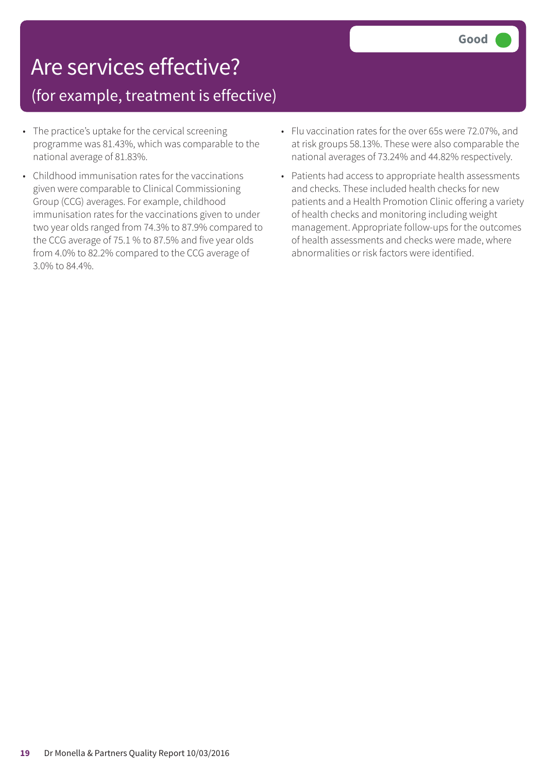## Are services effective?

### (for example, treatment is effective)

- The practice's uptake for the cervical screening programme was 81.43%, which was comparable to the national average of 81.83%.
- Childhood immunisation rates for the vaccinations given were comparable to Clinical Commissioning Group (CCG) averages. For example, childhood immunisation rates for the vaccinations given to under two year olds ranged from 74.3% to 87.9% compared to the CCG average of 75.1 % to 87.5% and five year olds from 4.0% to 82.2% compared to the CCG average of 3.0% to 84.4%.
- Flu vaccination rates for the over 65s were 72.07%, and at risk groups 58.13%. These were also comparable the national averages of 73.24% and 44.82% respectively.
- Patients had access to appropriate health assessments and checks. These included health checks for new patients and a Health Promotion Clinic offering a variety of health checks and monitoring including weight management. Appropriate follow-ups for the outcomes of health assessments and checks were made, where abnormalities or risk factors were identified.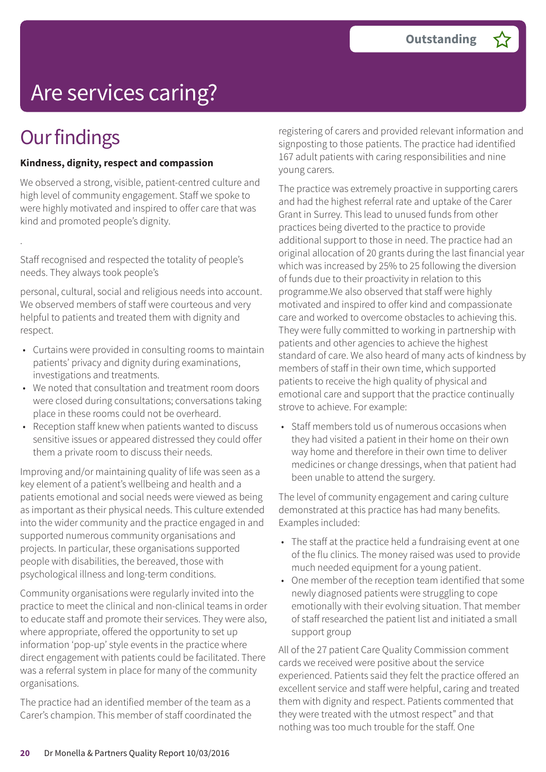# Are services caring?

## **Our findings**

.

#### **Kindness, dignity, respect and compassion**

We observed a strong, visible, patient-centred culture and high level of community engagement. Staff we spoke to were highly motivated and inspired to offer care that was kind and promoted people's dignity.

Staff recognised and respected the totality of people's needs. They always took people's

personal, cultural, social and religious needs into account. We observed members of staff were courteous and very helpful to patients and treated them with dignity and respect.

- Curtains were provided in consulting rooms to maintain patients' privacy and dignity during examinations, investigations and treatments.
- We noted that consultation and treatment room doors were closed during consultations; conversations taking place in these rooms could not be overheard.
- Reception staff knew when patients wanted to discuss sensitive issues or appeared distressed they could offer them a private room to discuss their needs.

Improving and/or maintaining quality of life was seen as a key element of a patient's wellbeing and health and a patients emotional and social needs were viewed as being as important as their physical needs. This culture extended into the wider community and the practice engaged in and supported numerous community organisations and projects. In particular, these organisations supported people with disabilities, the bereaved, those with psychological illness and long-term conditions.

Community organisations were regularly invited into the practice to meet the clinical and non-clinical teams in order to educate staff and promote their services. They were also, where appropriate, offered the opportunity to set up information 'pop-up' style events in the practice where direct engagement with patients could be facilitated. There was a referral system in place for many of the community organisations.

The practice had an identified member of the team as a Carer's champion. This member of staff coordinated the

registering of carers and provided relevant information and signposting to those patients. The practice had identified 167 adult patients with caring responsibilities and nine young carers.

The practice was extremely proactive in supporting carers and had the highest referral rate and uptake of the Carer Grant in Surrey. This lead to unused funds from other practices being diverted to the practice to provide additional support to those in need. The practice had an original allocation of 20 grants during the last financial year which was increased by 25% to 25 following the diversion of funds due to their proactivity in relation to this programme.We also observed that staff were highly motivated and inspired to offer kind and compassionate care and worked to overcome obstacles to achieving this. They were fully committed to working in partnership with patients and other agencies to achieve the highest standard of care. We also heard of many acts of kindness by members of staff in their own time, which supported patients to receive the high quality of physical and emotional care and support that the practice continually strove to achieve. For example:

• Staff members told us of numerous occasions when they had visited a patient in their home on their own way home and therefore in their own time to deliver medicines or change dressings, when that patient had been unable to attend the surgery.

The level of community engagement and caring culture demonstrated at this practice has had many benefits. Examples included:

- The staff at the practice held a fundraising event at one of the flu clinics. The money raised was used to provide much needed equipment for a young patient.
- One member of the reception team identified that some newly diagnosed patients were struggling to cope emotionally with their evolving situation. That member of staff researched the patient list and initiated a small support group

All of the 27 patient Care Quality Commission comment cards we received were positive about the service experienced. Patients said they felt the practice offered an excellent service and staff were helpful, caring and treated them with dignity and respect. Patients commented that they were treated with the utmost respect" and that nothing was too much trouble for the staff. One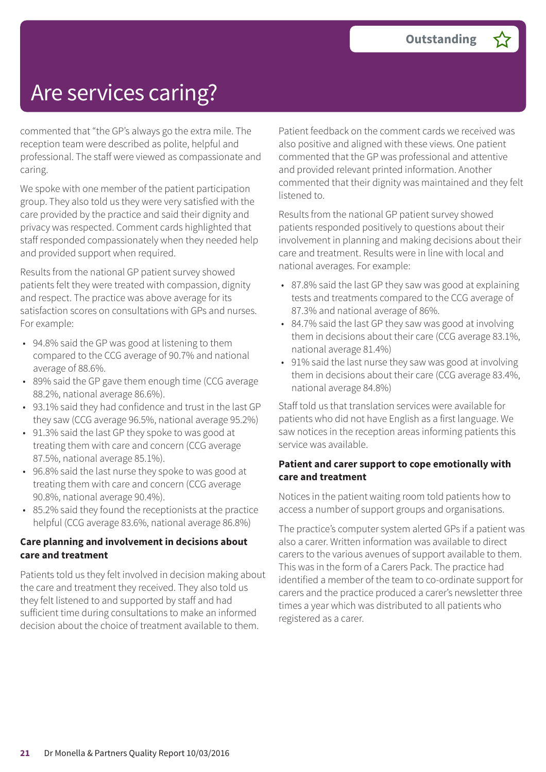## Are services caring?

commented that "the GP's always go the extra mile. The reception team were described as polite, helpful and professional. The staff were viewed as compassionate and caring.

We spoke with one member of the patient participation group. They also told us they were very satisfied with the care provided by the practice and said their dignity and privacy was respected. Comment cards highlighted that staff responded compassionately when they needed help and provided support when required.

Results from the national GP patient survey showed patients felt they were treated with compassion, dignity and respect. The practice was above average for its satisfaction scores on consultations with GPs and nurses. For example:

- 94.8% said the GP was good at listening to them compared to the CCG average of 90.7% and national average of 88.6%.
- 89% said the GP gave them enough time (CCG average 88.2%, national average 86.6%).
- 93.1% said they had confidence and trust in the last GP they saw (CCG average 96.5%, national average 95.2%)
- 91.3% said the last GP they spoke to was good at treating them with care and concern (CCG average 87.5%, national average 85.1%).
- 96.8% said the last nurse they spoke to was good at treating them with care and concern (CCG average 90.8%, national average 90.4%).
- 85.2% said they found the receptionists at the practice helpful (CCG average 83.6%, national average 86.8%)

#### **Care planning and involvement in decisions about care and treatment**

Patients told us they felt involved in decision making about the care and treatment they received. They also told us they felt listened to and supported by staff and had sufficient time during consultations to make an informed decision about the choice of treatment available to them.

Patient feedback on the comment cards we received was also positive and aligned with these views. One patient commented that the GP was professional and attentive and provided relevant printed information. Another commented that their dignity was maintained and they felt listened to.

Results from the national GP patient survey showed patients responded positively to questions about their involvement in planning and making decisions about their care and treatment. Results were in line with local and national averages. For example:

- 87.8% said the last GP they saw was good at explaining tests and treatments compared to the CCG average of 87.3% and national average of 86%.
- 84.7% said the last GP they saw was good at involving them in decisions about their care (CCG average 83.1%, national average 81.4%)
- 91% said the last nurse they saw was good at involving them in decisions about their care (CCG average 83.4%, national average 84.8%)

Staff told us that translation services were available for patients who did not have English as a first language. We saw notices in the reception areas informing patients this service was available.

#### **Patient and carer support to cope emotionally with care and treatment**

Notices in the patient waiting room told patients how to access a number of support groups and organisations.

The practice's computer system alerted GPs if a patient was also a carer. Written information was available to direct carers to the various avenues of support available to them. This was in the form of a Carers Pack. The practice had identified a member of the team to co-ordinate support for carers and the practice produced a carer's newsletter three times a year which was distributed to all patients who registered as a carer.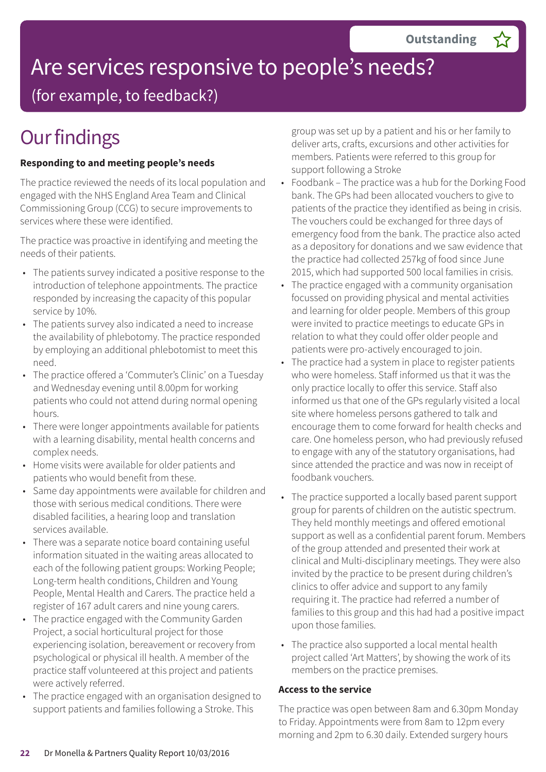# Are services responsive to people's needs?

(for example, to feedback?)

## **Our findings**

### **Responding to and meeting people's needs**

The practice reviewed the needs of its local population and engaged with the NHS England Area Team and Clinical Commissioning Group (CCG) to secure improvements to services where these were identified.

The practice was proactive in identifying and meeting the needs of their patients.

- The patients survey indicated a positive response to the introduction of telephone appointments. The practice responded by increasing the capacity of this popular service by 10%.
- The patients survey also indicated a need to increase the availability of phlebotomy. The practice responded by employing an additional phlebotomist to meet this need.
- The practice offered a 'Commuter's Clinic' on a Tuesday and Wednesday evening until 8.00pm for working patients who could not attend during normal opening hours.
- There were longer appointments available for patients with a learning disability, mental health concerns and complex needs.
- Home visits were available for older patients and patients who would benefit from these.
- Same day appointments were available for children and those with serious medical conditions. There were disabled facilities, a hearing loop and translation services available.
- There was a separate notice board containing useful information situated in the waiting areas allocated to each of the following patient groups: Working People; Long-term health conditions, Children and Young People, Mental Health and Carers. The practice held a register of 167 adult carers and nine young carers.
- The practice engaged with the Community Garden Project, a social horticultural project for those experiencing isolation, bereavement or recovery from psychological or physical ill health. A member of the practice staff volunteered at this project and patients were actively referred.
- The practice engaged with an organisation designed to support patients and families following a Stroke. This

group was set up by a patient and his or her family to deliver arts, crafts, excursions and other activities for members. Patients were referred to this group for support following a Stroke

- Foodbank The practice was a hub for the Dorking Food bank. The GPs had been allocated vouchers to give to patients of the practice they identified as being in crisis. The vouchers could be exchanged for three days of emergency food from the bank. The practice also acted as a depository for donations and we saw evidence that the practice had collected 257kg of food since June 2015, which had supported 500 local families in crisis.
- The practice engaged with a community organisation focussed on providing physical and mental activities and learning for older people. Members of this group were invited to practice meetings to educate GPs in relation to what they could offer older people and patients were pro-actively encouraged to join.
- The practice had a system in place to register patients who were homeless. Staff informed us that it was the only practice locally to offer this service. Staff also informed us that one of the GPs regularly visited a local site where homeless persons gathered to talk and encourage them to come forward for health checks and care. One homeless person, who had previously refused to engage with any of the statutory organisations, had since attended the practice and was now in receipt of foodbank vouchers.
- The practice supported a locally based parent support group for parents of children on the autistic spectrum. They held monthly meetings and offered emotional support as well as a confidential parent forum. Members of the group attended and presented their work at clinical and Multi-disciplinary meetings. They were also invited by the practice to be present during children's clinics to offer advice and support to any family requiring it. The practice had referred a number of families to this group and this had had a positive impact upon those families.
- The practice also supported a local mental health project called 'Art Matters', by showing the work of its members on the practice premises.

#### **Access to the service**

The practice was open between 8am and 6.30pm Monday to Friday. Appointments were from 8am to 12pm every morning and 2pm to 6.30 daily. Extended surgery hours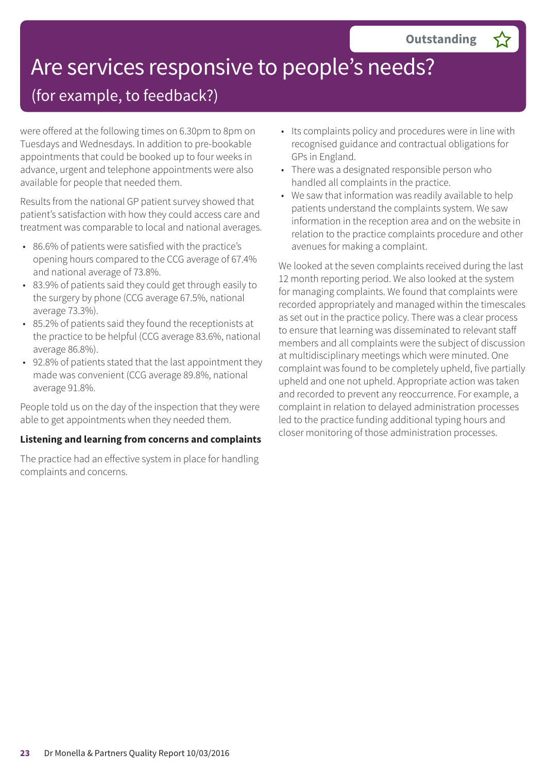# Are services responsive to people's needs?

### (for example, to feedback?)

were offered at the following times on 6.30pm to 8pm on Tuesdays and Wednesdays. In addition to pre-bookable appointments that could be booked up to four weeks in advance, urgent and telephone appointments were also available for people that needed them.

Results from the national GP patient survey showed that patient's satisfaction with how they could access care and treatment was comparable to local and national averages.

- 86.6% of patients were satisfied with the practice's opening hours compared to the CCG average of 67.4% and national average of 73.8%.
- 83.9% of patients said they could get through easily to the surgery by phone (CCG average 67.5%, national average 73.3%).
- 85.2% of patients said they found the receptionists at the practice to be helpful (CCG average 83.6%, national average 86.8%).
- 92.8% of patients stated that the last appointment they made was convenient (CCG average 89.8%, national average 91.8%.

People told us on the day of the inspection that they were able to get appointments when they needed them.

#### **Listening and learning from concerns and complaints**

The practice had an effective system in place for handling complaints and concerns.

- Its complaints policy and procedures were in line with recognised guidance and contractual obligations for GPs in England.
- There was a designated responsible person who handled all complaints in the practice.
- We saw that information was readily available to help patients understand the complaints system. We saw information in the reception area and on the website in relation to the practice complaints procedure and other avenues for making a complaint.

We looked at the seven complaints received during the last 12 month reporting period. We also looked at the system for managing complaints. We found that complaints were recorded appropriately and managed within the timescales as set out in the practice policy. There was a clear process to ensure that learning was disseminated to relevant staff members and all complaints were the subject of discussion at multidisciplinary meetings which were minuted. One complaint was found to be completely upheld, five partially upheld and one not upheld. Appropriate action was taken and recorded to prevent any reoccurrence. For example, a complaint in relation to delayed administration processes led to the practice funding additional typing hours and closer monitoring of those administration processes.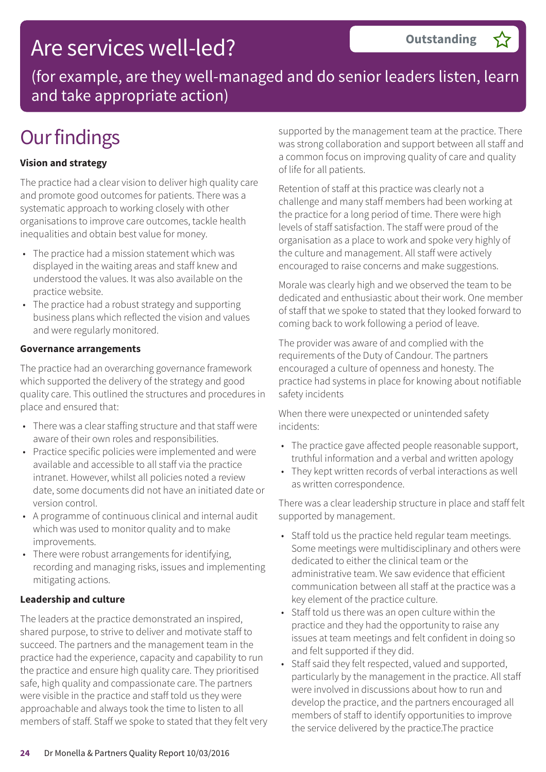### Are services well-led?

(for example, are they well-managed and do senior leaders listen, learn and take appropriate action)

## **Our findings**

### **Vision and strategy**

The practice had a clear vision to deliver high quality care and promote good outcomes for patients. There was a systematic approach to working closely with other organisations to improve care outcomes, tackle health inequalities and obtain best value for money.

- The practice had a mission statement which was displayed in the waiting areas and staff knew and understood the values. It was also available on the practice website.
- The practice had a robust strategy and supporting business plans which reflected the vision and values and were regularly monitored.

#### **Governance arrangements**

The practice had an overarching governance framework which supported the delivery of the strategy and good quality care. This outlined the structures and procedures in place and ensured that:

- There was a clear staffing structure and that staff were aware of their own roles and responsibilities.
- Practice specific policies were implemented and were available and accessible to all staff via the practice intranet. However, whilst all policies noted a review date, some documents did not have an initiated date or version control.
- A programme of continuous clinical and internal audit which was used to monitor quality and to make improvements.
- There were robust arrangements for identifying, recording and managing risks, issues and implementing mitigating actions.

#### **Leadership and culture**

The leaders at the practice demonstrated an inspired, shared purpose, to strive to deliver and motivate staff to succeed. The partners and the management team in the practice had the experience, capacity and capability to run the practice and ensure high quality care. They prioritised safe, high quality and compassionate care. The partners were visible in the practice and staff told us they were approachable and always took the time to listen to all members of staff. Staff we spoke to stated that they felt very supported by the management team at the practice. There was strong collaboration and support between all staff and a common focus on improving quality of care and quality of life for all patients.

Retention of staff at this practice was clearly not a challenge and many staff members had been working at the practice for a long period of time. There were high levels of staff satisfaction. The staff were proud of the organisation as a place to work and spoke very highly of the culture and management. All staff were actively encouraged to raise concerns and make suggestions.

Morale was clearly high and we observed the team to be dedicated and enthusiastic about their work. One member of staff that we spoke to stated that they looked forward to coming back to work following a period of leave.

The provider was aware of and complied with the requirements of the Duty of Candour. The partners encouraged a culture of openness and honesty. The practice had systems in place for knowing about notifiable safety incidents

When there were unexpected or unintended safety incidents:

- The practice gave affected people reasonable support, truthful information and a verbal and written apology
- They kept written records of verbal interactions as well as written correspondence.

There was a clear leadership structure in place and staff felt supported by management.

- Staff told us the practice held regular team meetings. Some meetings were multidisciplinary and others were dedicated to either the clinical team or the administrative team. We saw evidence that efficient communication between all staff at the practice was a key element of the practice culture.
- Staff told us there was an open culture within the practice and they had the opportunity to raise any issues at team meetings and felt confident in doing so and felt supported if they did.
- Staff said they felt respected, valued and supported, particularly by the management in the practice. All staff were involved in discussions about how to run and develop the practice, and the partners encouraged all members of staff to identify opportunities to improve the service delivered by the practice.The practice